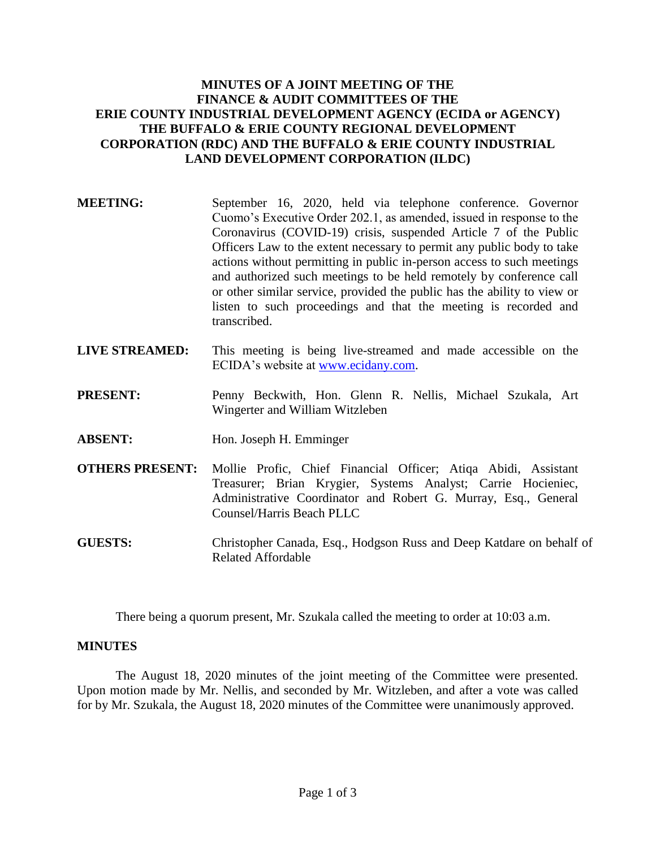# **MINUTES OF A JOINT MEETING OF THE FINANCE & AUDIT COMMITTEES OF THE ERIE COUNTY INDUSTRIAL DEVELOPMENT AGENCY (ECIDA or AGENCY) THE BUFFALO & ERIE COUNTY REGIONAL DEVELOPMENT CORPORATION (RDC) AND THE BUFFALO & ERIE COUNTY INDUSTRIAL LAND DEVELOPMENT CORPORATION (ILDC)**

- **MEETING:** September 16, 2020, held via telephone conference. Governor Cuomo's Executive Order 202.1, as amended, issued in response to the Coronavirus (COVID-19) crisis, suspended Article 7 of the Public Officers Law to the extent necessary to permit any public body to take actions without permitting in public in-person access to such meetings and authorized such meetings to be held remotely by conference call or other similar service, provided the public has the ability to view or listen to such proceedings and that the meeting is recorded and transcribed.
- **LIVE STREAMED:** This meeting is being live-streamed and made accessible on the ECIDA's website at [www.ecidany.com.](http://www.ecidany.com/)
- **PRESENT:** Penny Beckwith, Hon. Glenn R. Nellis, Michael Szukala, Art Wingerter and William Witzleben
- **ABSENT:** Hon. Joseph H. Emminger
- **OTHERS PRESENT:** Mollie Profic, Chief Financial Officer; Atiqa Abidi, Assistant Treasurer; Brian Krygier, Systems Analyst; Carrie Hocieniec, Administrative Coordinator and Robert G. Murray, Esq., General Counsel/Harris Beach PLLC
- **GUESTS:** Christopher Canada, Esq., Hodgson Russ and Deep Katdare on behalf of Related Affordable

There being a quorum present, Mr. Szukala called the meeting to order at 10:03 a.m.

## **MINUTES**

The August 18, 2020 minutes of the joint meeting of the Committee were presented. Upon motion made by Mr. Nellis, and seconded by Mr. Witzleben, and after a vote was called for by Mr. Szukala, the August 18, 2020 minutes of the Committee were unanimously approved.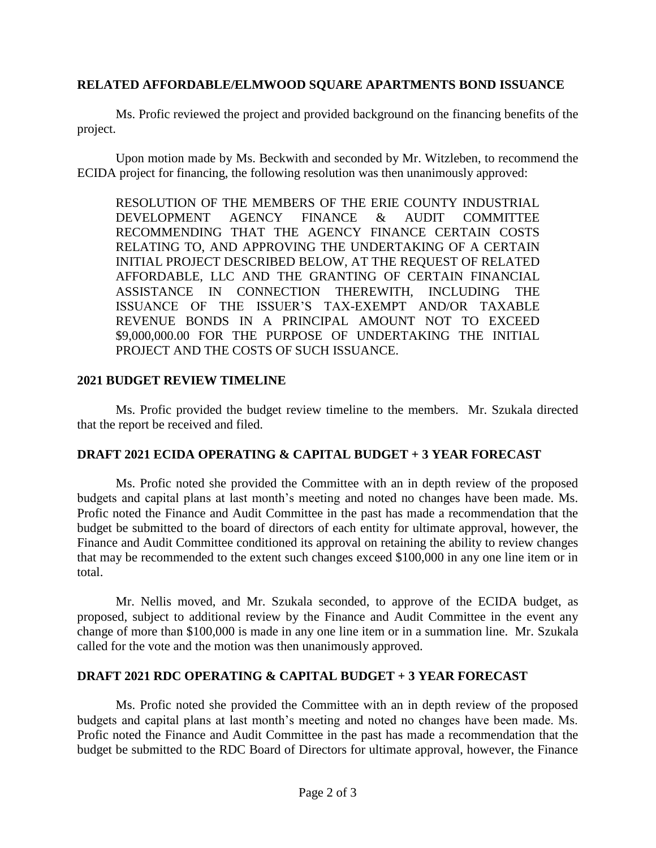## **RELATED AFFORDABLE/ELMWOOD SQUARE APARTMENTS BOND ISSUANCE**

Ms. Profic reviewed the project and provided background on the financing benefits of the project.

Upon motion made by Ms. Beckwith and seconded by Mr. Witzleben, to recommend the ECIDA project for financing, the following resolution was then unanimously approved:

RESOLUTION OF THE MEMBERS OF THE ERIE COUNTY INDUSTRIAL DEVELOPMENT AGENCY FINANCE & AUDIT COMMITTEE RECOMMENDING THAT THE AGENCY FINANCE CERTAIN COSTS RELATING TO, AND APPROVING THE UNDERTAKING OF A CERTAIN INITIAL PROJECT DESCRIBED BELOW, AT THE REQUEST OF RELATED AFFORDABLE, LLC AND THE GRANTING OF CERTAIN FINANCIAL ASSISTANCE IN CONNECTION THEREWITH, INCLUDING THE ISSUANCE OF THE ISSUER'S TAX-EXEMPT AND/OR TAXABLE REVENUE BONDS IN A PRINCIPAL AMOUNT NOT TO EXCEED \$9,000,000.00 FOR THE PURPOSE OF UNDERTAKING THE INITIAL PROJECT AND THE COSTS OF SUCH ISSUANCE.

## **2021 BUDGET REVIEW TIMELINE**

Ms. Profic provided the budget review timeline to the members. Mr. Szukala directed that the report be received and filed.

# **DRAFT 2021 ECIDA OPERATING & CAPITAL BUDGET + 3 YEAR FORECAST**

Ms. Profic noted she provided the Committee with an in depth review of the proposed budgets and capital plans at last month's meeting and noted no changes have been made. Ms. Profic noted the Finance and Audit Committee in the past has made a recommendation that the budget be submitted to the board of directors of each entity for ultimate approval, however, the Finance and Audit Committee conditioned its approval on retaining the ability to review changes that may be recommended to the extent such changes exceed \$100,000 in any one line item or in total.

Mr. Nellis moved, and Mr. Szukala seconded, to approve of the ECIDA budget, as proposed, subject to additional review by the Finance and Audit Committee in the event any change of more than \$100,000 is made in any one line item or in a summation line. Mr. Szukala called for the vote and the motion was then unanimously approved.

## **DRAFT 2021 RDC OPERATING & CAPITAL BUDGET + 3 YEAR FORECAST**

Ms. Profic noted she provided the Committee with an in depth review of the proposed budgets and capital plans at last month's meeting and noted no changes have been made. Ms. Profic noted the Finance and Audit Committee in the past has made a recommendation that the budget be submitted to the RDC Board of Directors for ultimate approval, however, the Finance